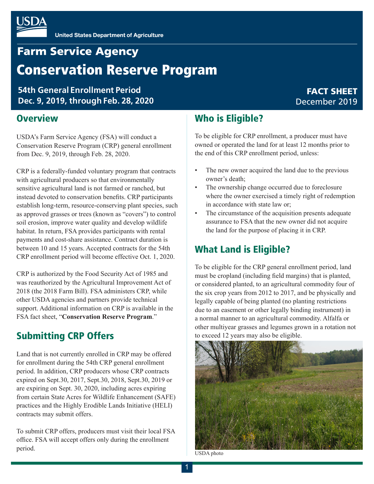

# **Farm Service Agency** Conservation Reserve Program

**54th General Enrollment Period Dec. 9, 2019, through Feb. 28, 2020**

### **Overview**

USDA's Farm Service Agency (FSA) will conduct a Conservation Reserve Program (CRP) general enrollment from Dec. 9, 2019, through Feb. 28, 2020.

CRP is a federally-funded voluntary program that contracts with agricultural producers so that environmentally sensitive agricultural land is not farmed or ranched, but instead devoted to conservation benefits. CRP participants establish long-term, resource-conserving plant species, such as approved grasses or trees (known as "covers") to control soil erosion, improve water quality and develop wildlife habitat. In return, FSA provides participants with rental payments and cost-share assistance. Contract duration is between 10 and 15 years. Accepted contracts for the 54th CRP enrollment period will become effective Oct. 1, 2020.

CRP is authorized by the Food Security Act of 1985 and was reauthorized by the Agricultural Improvement Act of 2018 (the 2018 Farm Bill). FSA administers CRP, while other USDA agencies and partners provide technical support. Additional information on CRP is available in the FSA fact sheet, "**Conservation Reserve Program**."

### Submitting CRP Offers

Land that is not currently enrolled in CRP may be offered for enrollment during the 54th CRP general enrollment period. In addition, CRP producers whose CRP contracts expired on Sept.30, 2017, Sept.30, 2018, Sept.30, 2019 or are expiring on Sept. 30, 2020, including acres expiring from certain State Acres for Wildlife Enhancement (SAFE) practices and the Highly Erodible Lands Initiative (HELI) contracts may submit offers.

To submit CRP offers, producers must visit their local FSA office. FSA will accept offers only during the enrollment period.

### Who is Eligible?

To be eligible for CRP enrollment, a producer must have owned or operated the land for at least 12 months prior to the end of this CRP enrollment period, unless:

- The new owner acquired the land due to the previous owner's death;
- The ownership change occurred due to foreclosure where the owner exercised a timely right of redemption in accordance with state law or;
- The circumstance of the acquisition presents adequate assurance to FSA that the new owner did not acquire the land for the purpose of placing it in CRP.

## What Land is Eligible?

To be eligible for the CRP general enrollment period, land must be cropland (including field margins) that is planted, or considered planted, to an agricultural commodity four of the six crop years from 2012 to 2017, and be physically and legally capable of being planted (no planting restrictions due to an easement or other legally binding instrument) in a normal manner to an agricultural commodity. Alfalfa or other multiyear grasses and legumes grown in a rotation not to exceed 12 years may also be eligible.



USDA photo

### FACT SHEET December 2019